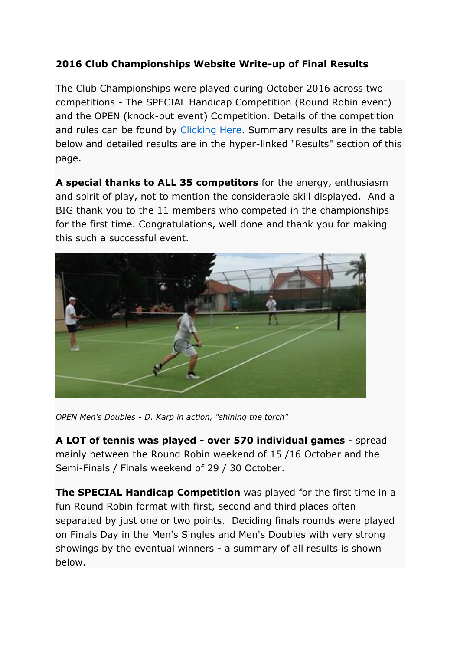## **2016 Club Championships Website Write-up of Final Results**

The Club Championships were played during October 2016 across two competitions - The SPECIAL Handicap Competition (Round Robin event) and the OPEN (knock-out event) Competition. Details of the competition and rules can be found by [Clicking Here.](http://www.greenwichtennis.com.au/Grntc-Championship.aspx) Summary results are in the table below and detailed results are in the hyper-linked "Results" section of this page.

**A special thanks to ALL 35 competitors** for the energy, enthusiasm and spirit of play, not to mention the considerable skill displayed. And a BIG thank you to the 11 members who competed in the championships for the first time. Congratulations, well done and thank you for making this such a successful event.



*OPEN Men's Doubles - D. Karp in action, "shining the torch"* 

**A LOT of tennis was played - over 570 individual games** - spread mainly between the Round Robin weekend of 15 /16 October and the Semi-Finals / Finals weekend of 29 / 30 October.

**The SPECIAL Handicap Competition** was played for the first time in a fun Round Robin format with first, second and third places often separated by just one or two points. Deciding finals rounds were played on Finals Day in the Men's Singles and Men's Doubles with very strong showings by the eventual winners - a summary of all results is shown below.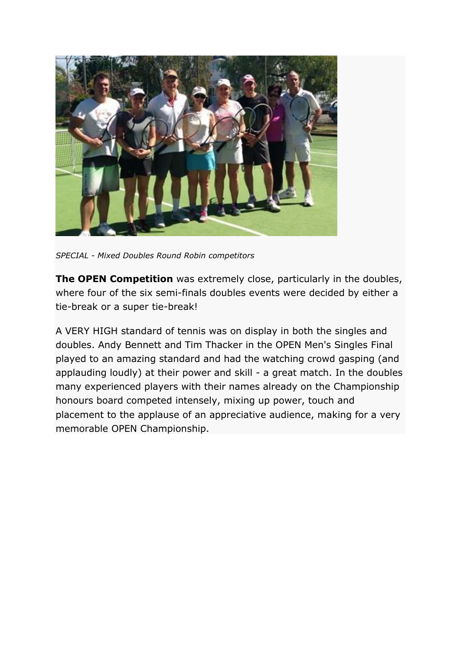

*SPECIAL - Mixed Doubles Round Robin competitors*

**The OPEN Competition** was extremely close, particularly in the doubles, where four of the six semi-finals doubles events were decided by either a tie-break or a super tie-break!

A VERY HIGH standard of tennis was on display in both the singles and doubles. Andy Bennett and Tim Thacker in the OPEN Men's Singles Final played to an amazing standard and had the watching crowd gasping (and applauding loudly) at their power and skill - a great match. In the doubles many experienced players with their names already on the Championship honours board competed intensely, mixing up power, touch and placement to the applause of an appreciative audience, making for a very memorable OPEN Championship.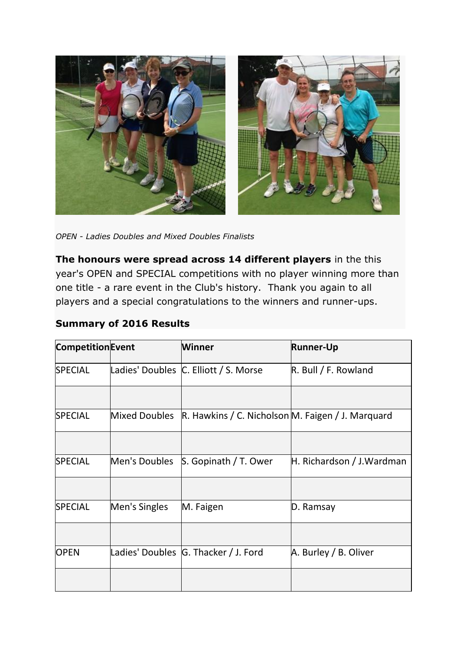

*OPEN - Ladies Doubles and Mixed Doubles Finalists*

**The honours were spread across 14 different players** in the this year's OPEN and SPECIAL competitions with no player winning more than one title - a rare event in the Club's history. Thank you again to all players and a special congratulations to the winners and runner-ups.

## **Summary of 2016 Results**

| <b>Competition Event</b> |               | <b>Winner</b>                                     | <b>Runner-Up</b>          |
|--------------------------|---------------|---------------------------------------------------|---------------------------|
| <b>SPECIAL</b>           |               | Ladies' Doubles C. Elliott / S. Morse             | $R.$ Bull / F. Rowland    |
|                          |               |                                                   |                           |
| <b>SPECIAL</b>           | Mixed Doubles | R. Hawkins / C. Nicholson M. Faigen / J. Marquard |                           |
|                          |               |                                                   |                           |
| <b>SPECIAL</b>           | Men's Doubles | S. Gopinath / T. Ower                             | H. Richardson / J.Wardman |
|                          |               |                                                   |                           |
| <b>SPECIAL</b>           | Men's Singles | M. Faigen                                         | D. Ramsay                 |
|                          |               |                                                   |                           |
| <b>OPEN</b>              |               | Ladies' Doubles G. Thacker / J. Ford              | A. Burley / B. Oliver     |
|                          |               |                                                   |                           |